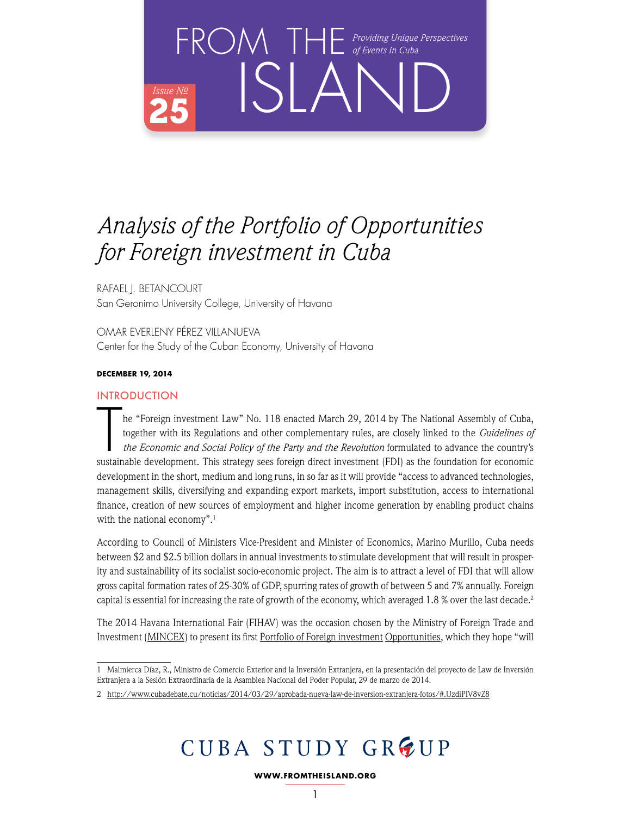

RAFAEL J. BETANCOURT San Geronimo University College, University of Havana

OMAR EVERLENY PÉREZ VILLANUEVA Center for the Study of the Cuban Economy, University of Havana

### **DECEMBER 19, 2014**

### INTRODUCTION

The "Foreign investment Law" No. 118 enacted March 29, 2014 by The National Assembly of Cuba, together with its Regulations and other complementary rules, are closely linked to the *Guidelines of the Economic and Social Po* he "Foreign investment Law" No. 118 enacted March 29, 2014 by The National Assembly of Cuba, together with its Regulations and other complementary rules, are closely linked to the *Guidelines of the Economic and Social Policy of the Party and the Revolution* formulated to advance the country's development in the short, medium and long runs, in so far as it will provide "access to advanced technologies, management skills, diversifying and expanding export markets, import substitution, access to international finance, creation of new sources of employment and higher income generation by enabling product chains with the national economy".<sup>1</sup>

According to Council of Ministers Vice-President and Minister of Economics, Marino Murillo, Cuba needs between \$2 and \$2.5 billion dollars in annual investments to stimulate development that will result in prosperity and sustainability of its socialist socio-economic project. The aim is to attract a level of FDI that will allow gross capital formation rates of 25-30% of GDP, spurring rates of growth of between 5 and 7% annually. Foreign capital is essential for increasing the rate of growth of the economy, which averaged 1.8 % over the last decade.<sup>2</sup>

The 2014 Havana International Fair (FIHAV) was the occasion chosen by the Ministry of Foreign Trade and Investment ([MINCEX](http://www.mincex.cu)) to present its first [Portfolio of Foreign investment](http://www.cepec.cu/cepec/sites/default/files/Cuba_cartera-de-oportunidades_2014_ESP.pdf) Opportunities, which they hope "will

1 Malmierca Díaz, R., Ministro de Comercio Exterior and la Inversión Extranjera, en la presentación del proyecto de Law de Inversión Extranjera a la Sesión Extraordinaria de la Asamblea Nacional del Poder Popular, 29 de marzo de 2014.

# CUBA STUDY GROUP

**WWW.FROMTHEISLAND.ORG**

<sup>2</sup> http://www.cubadebate.cu/noticias/2014/03/29/aprobada-nueva-law-de-inversion-extranjera-fotos/#.UzdiPIV8vZ8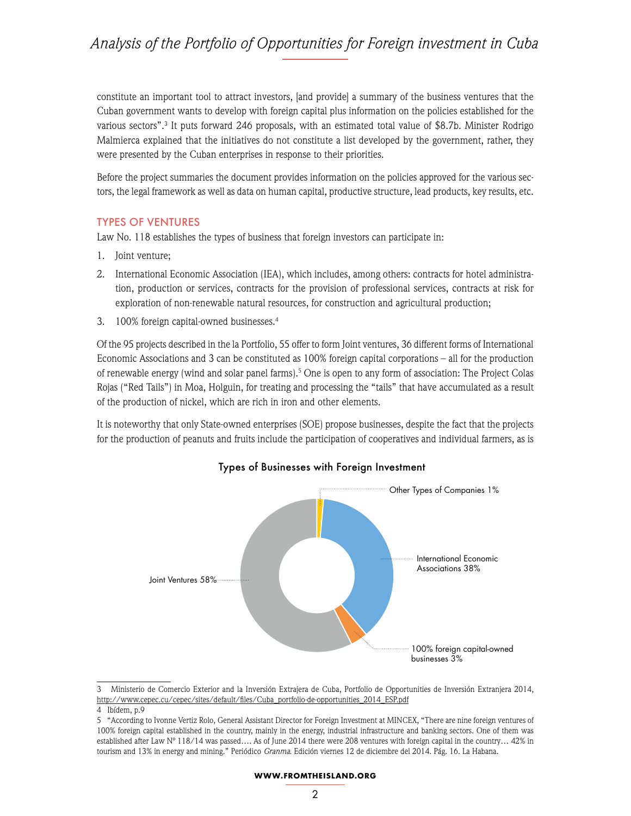constitute an important tool to attract investors, [and provide] a summary of the business ventures that the Cuban government wants to develop with foreign capital plus information on the policies established for the various sectors".3 It puts forward 246 proposals, with an estimated total value of \$8.7b. Minister Rodrigo Malmierca explained that the initiatives do not constitute a list developed by the government, rather, they were presented by the Cuban enterprises in response to their priorities.

Before the project summaries the document provides information on the policies approved for the various sectors, the legal framework as well as data on human capital, productive structure, lead products, key results, etc.

### TYPES OF VENTURES

Law No. 118 establishes the types of business that foreign investors can participate in:

- 1. Joint venture;
- 2. International Economic Association (IEA), which includes, among others: contracts for hotel administration, production or services, contracts for the provision of professional services, contracts at risk for exploration of non-renewable natural resources, for construction and agricultural production;
- 3. 100% foreign capital-owned businesses.4

Of the 95 projects described in the la Portfolio, 55 offer to form Joint ventures, 36 different forms of International Economic Associations and 3 can be constituted as 100% foreign capital corporations – all for the production of renewable energy (wind and solar panel farms).5 One is open to any form of association: The Project Colas Rojas ("Red Tails") in Moa, Holguin, for treating and processing the "tails" that have accumulated as a result of the production of nickel, which are rich in iron and other elements.

It is noteworthy that only State-owned enterprises (SOE) propose businesses, despite the fact that the projects for the production of peanuts and fruits include the participation of cooperatives and individual farmers, as is



### Types of Businesses with Foreign Investment

#### **WWW.FROMTHEISLAND.ORG**

<sup>3</sup> Ministerio de Comercio Exterior and la Inversión Extrajera de Cuba, Portfolio de Opportunities de Inversión Extranjera 2014, [http://www.cepec.cu/cepec/sites/default/files/Cuba\\_portfolio-de-opportunities\\_2014\\_ESP.pdf](http://www.cepec.cu/cepec/sites/default/files/Cuba_cartera-de-oportunidades_2014_ESP.pdf)

<sup>4</sup> Ibídem, p.9

<sup>5 &</sup>quot;According to Ivonne Vertiz Rolo, General Assistant Director for Foreign Investment at MINCEX, "There are nine foreign ventures of 100% foreign capital established in the country, mainly in the energy, industrial infrastructure and banking sectors. One of them was established after Law Nº 118/14 was passed…. As of June 2014 there were 208 ventures with foreign capital in the country… 42% in tourism and 13% in energy and mining." Periódico *Granma*. Edición viernes 12 de diciembre del 2014. Pág. 16. La Habana.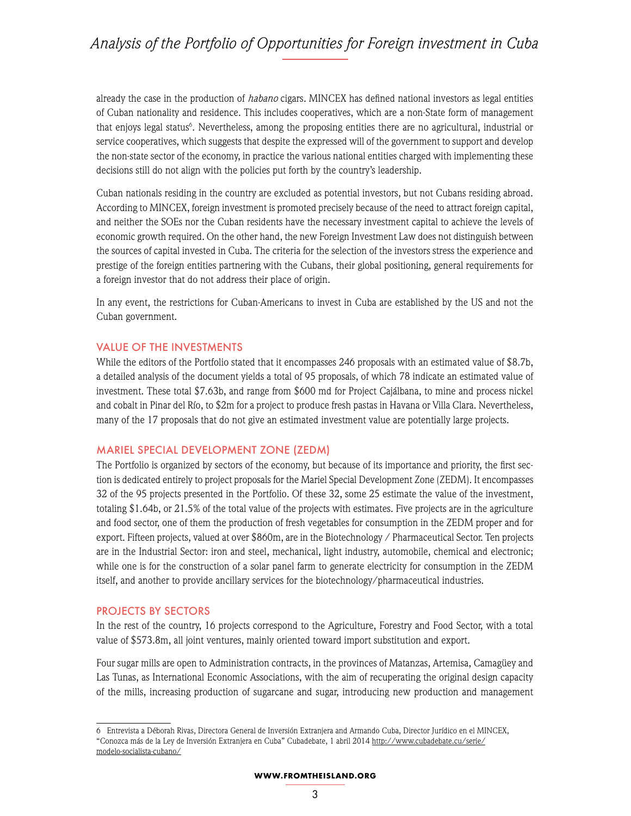already the case in the production of *habano* cigars*.* MINCEX has defined national investors as legal entities of Cuban nationality and residence. This includes cooperatives, which are a non-State form of management that enjoys legal status<sup>6</sup>. Nevertheless, among the proposing entities there are no agricultural, industrial or service cooperatives, which suggests that despite the expressed will of the government to support and develop the non-state sector of the economy, in practice the various national entities charged with implementing these decisions still do not align with the policies put forth by the country's leadership.

Cuban nationals residing in the country are excluded as potential investors, but not Cubans residing abroad. According to MINCEX, foreign investment is promoted precisely because of the need to attract foreign capital, and neither the SOEs nor the Cuban residents have the necessary investment capital to achieve the levels of economic growth required. On the other hand, the new Foreign Investment Law does not distinguish between the sources of capital invested in Cuba. The criteria for the selection of the investors stress the experience and prestige of the foreign entities partnering with the Cubans, their global positioning, general requirements for a foreign investor that do not address their place of origin.

In any event, the restrictions for Cuban-Americans to invest in Cuba are established by the US and not the Cuban government.

### VALUE OF THE INVESTMENTS

While the editors of the Portfolio stated that it encompasses 246 proposals with an estimated value of \$8.7b, a detailed analysis of the document yields a total of 95 proposals, of which 78 indicate an estimated value of investment. These total \$7.63b, and range from \$600 md for Project Cajálbana, to mine and process nickel and cobalt in Pinar del Río, to \$2m for a project to produce fresh pastas in Havana or Villa Clara. Nevertheless, many of the 17 proposals that do not give an estimated investment value are potentially large projects.

#### MARIEL SPECIAL DEVELOPMENT ZONE (ZEDM)

The Portfolio is organized by sectors of the economy, but because of its importance and priority, the first section is dedicated entirely to project proposals for the Mariel Special Development Zone (ZEDM). It encompasses 32 of the 95 projects presented in the Portfolio. Of these 32, some 25 estimate the value of the investment, totaling \$1.64b, or 21.5% of the total value of the projects with estimates. Five projects are in the agriculture and food sector, one of them the production of fresh vegetables for consumption in the ZEDM proper and for export. Fifteen projects, valued at over \$860m, are in the Biotechnology / Pharmaceutical Sector. Ten projects are in the Industrial Sector: iron and steel, mechanical, light industry, automobile, chemical and electronic; while one is for the construction of a solar panel farm to generate electricity for consumption in the ZEDM itself, and another to provide ancillary services for the biotechnology/pharmaceutical industries.

### PROJECTS BY SECTORS

In the rest of the country, 16 projects correspond to the Agriculture, Forestry and Food Sector, with a total value of \$573.8m, all joint ventures, mainly oriented toward import substitution and export.

Four sugar mills are open to Administration contracts, in the provinces of Matanzas, Artemisa, Camagüey and Las Tunas, as International Economic Associations, with the aim of recuperating the original design capacity of the mills, increasing production of sugarcane and sugar, introducing new production and management

<sup>6</sup> Entrevista a Déborah Rivas, Directora General de Inversión Extranjera and Armando Cuba, Director Jurídico en el MINCEX, "Conozca más de la Ley de Inversión Extranjera en Cuba" Cubadebate, 1 abril 2014 [http://www.cubadebate.cu/serie/](http://www.cubadebate.cu/serie/modelo-socialista-cubano/) [modelo-socialista-cubano/](http://www.cubadebate.cu/serie/modelo-socialista-cubano/)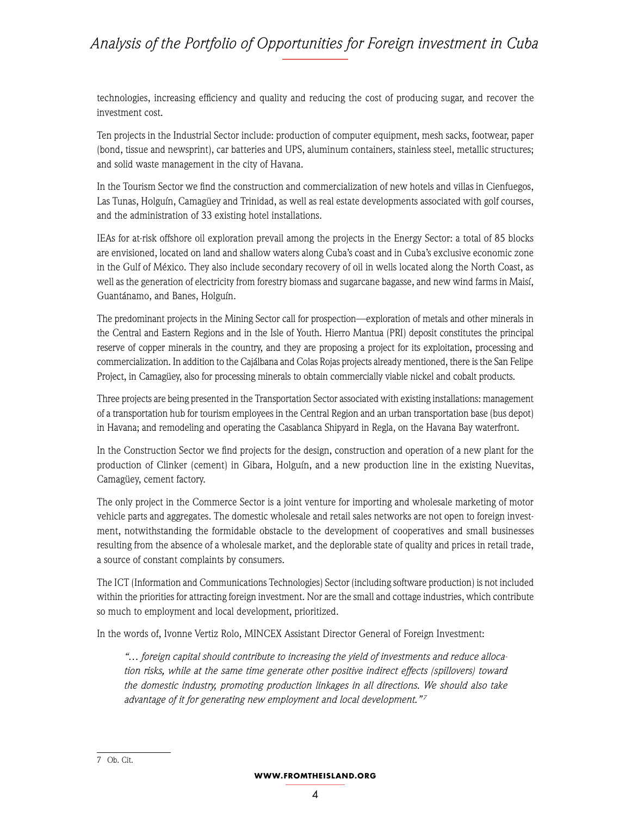technologies, increasing efficiency and quality and reducing the cost of producing sugar, and recover the investment cost.

Ten projects in the Industrial Sector include: production of computer equipment, mesh sacks, footwear, paper (bond, tissue and newsprint), car batteries and UPS, aluminum containers, stainless steel, metallic structures; and solid waste management in the city of Havana.

In the Tourism Sector we find the construction and commercialization of new hotels and villas in Cienfuegos, Las Tunas, Holguín, Camagüey and Trinidad, as well as real estate developments associated with golf courses, and the administration of 33 existing hotel installations.

IEAs for at-risk offshore oil exploration prevail among the projects in the Energy Sector: a total of 85 blocks are envisioned, located on land and shallow waters along Cuba's coast and in Cuba's exclusive economic zone in the Gulf of México. They also include secondary recovery of oil in wells located along the North Coast, as well as the generation of electricity from forestry biomass and sugarcane bagasse, and new wind farms in Maisí, Guantánamo, and Banes, Holguín.

The predominant projects in the Mining Sector call for prospection—exploration of metals and other minerals in the Central and Eastern Regions and in the Isle of Youth. Hierro Mantua (PRI) deposit constitutes the principal reserve of copper minerals in the country, and they are proposing a project for its exploitation, processing and commercialization. In addition to the Cajálbana and Colas Rojas projects already mentioned, there is the San Felipe Project, in Camagüey, also for processing minerals to obtain commercially viable nickel and cobalt products.

Three projects are being presented in the Transportation Sector associated with existing installations: management of a transportation hub for tourism employees in the Central Region and an urban transportation base (bus depot) in Havana; and remodeling and operating the Casablanca Shipyard in Regla, on the Havana Bay waterfront.

In the Construction Sector we find projects for the design, construction and operation of a new plant for the production of Clinker (cement) in Gibara, Holguín, and a new production line in the existing Nuevitas, Camagüey, cement factory.

The only project in the Commerce Sector is a joint venture for importing and wholesale marketing of motor vehicle parts and aggregates. The domestic wholesale and retail sales networks are not open to foreign investment, notwithstanding the formidable obstacle to the development of cooperatives and small businesses resulting from the absence of a wholesale market, and the deplorable state of quality and prices in retail trade, a source of constant complaints by consumers.

The ICT (Information and Communications Technologies) Sector (including software production) is not included within the priorities for attracting foreign investment. Nor are the small and cottage industries, which contribute so much to employment and local development, prioritized.

In the words of, Ivonne Vertiz Rolo, MINCEX Assistant Director General of Foreign Investment:

*"… foreign capital should contribute to increasing the yield of investments and reduce allocation risks, while at the same time generate other positive indirect effects (spillovers) toward the domestic industry, promoting production linkages in all directions. We should also take advantage of it for generating new employment and local development." <sup>7</sup>*